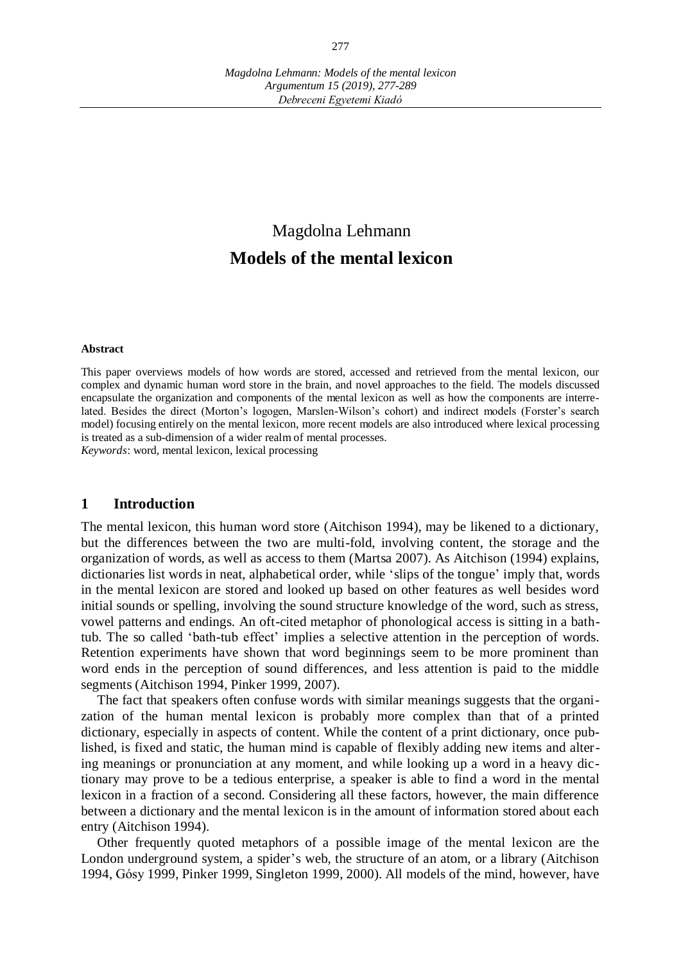# Magdolna Lehmann **Models of the mental lexicon**

#### **Abstract**

This paper overviews models of how words are stored, accessed and retrieved from the mental lexicon, our complex and dynamic human word store in the brain, and novel approaches to the field. The models discussed encapsulate the organization and components of the mental lexicon as well as how the components are interrelated. Besides the direct (Morton's logogen, Marslen-Wilson's cohort) and indirect models (Forster's search model) focusing entirely on the mental lexicon, more recent models are also introduced where lexical processing is treated as a sub-dimension of a wider realm of mental processes.

*Keywords*: word, mental lexicon, lexical processing

#### **1 Introduction**

The mental lexicon, this human word store (Aitchison 1994), may be likened to a dictionary, but the differences between the two are multi-fold, involving content, the storage and the organization of words, as well as access to them (Martsa 2007). As Aitchison (1994) explains, dictionaries list words in neat, alphabetical order, while 'slips of the tongue' imply that, words in the mental lexicon are stored and looked up based on other features as well besides word initial sounds or spelling, involving the sound structure knowledge of the word, such as stress, vowel patterns and endings. An oft-cited metaphor of phonological access is sitting in a bathtub. The so called 'bath-tub effect' implies a selective attention in the perception of words. Retention experiments have shown that word beginnings seem to be more prominent than word ends in the perception of sound differences, and less attention is paid to the middle segments (Aitchison 1994, Pinker 1999, 2007).

The fact that speakers often confuse words with similar meanings suggests that the organization of the human mental lexicon is probably more complex than that of a printed dictionary, especially in aspects of content. While the content of a print dictionary, once published, is fixed and static, the human mind is capable of flexibly adding new items and altering meanings or pronunciation at any moment, and while looking up a word in a heavy dictionary may prove to be a tedious enterprise, a speaker is able to find a word in the mental lexicon in a fraction of a second. Considering all these factors, however, the main difference between a dictionary and the mental lexicon is in the amount of information stored about each entry (Aitchison 1994).

Other frequently quoted metaphors of a possible image of the mental lexicon are the London underground system, a spider's web, the structure of an atom, or a library (Aitchison 1994, Gósy 1999, Pinker 1999, Singleton 1999, 2000). All models of the mind, however, have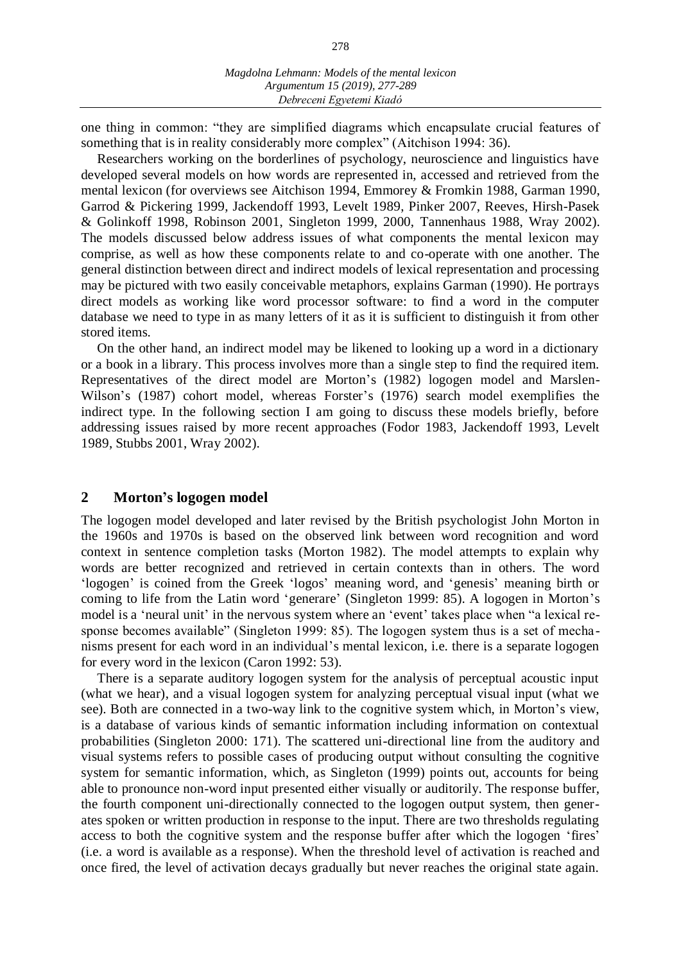278

one thing in common: "they are simplified diagrams which encapsulate crucial features of something that is in reality considerably more complex" (Aitchison 1994: 36).

Researchers working on the borderlines of psychology, neuroscience and linguistics have developed several models on how words are represented in, accessed and retrieved from the mental lexicon (for overviews see Aitchison 1994, Emmorey & Fromkin 1988, Garman 1990, Garrod & Pickering 1999, Jackendoff 1993, Levelt 1989, Pinker 2007, Reeves, Hirsh-Pasek & Golinkoff 1998, Robinson 2001, Singleton 1999, 2000, Tannenhaus 1988, Wray 2002). The models discussed below address issues of what components the mental lexicon may comprise, as well as how these components relate to and co-operate with one another. The general distinction between direct and indirect models of lexical representation and processing may be pictured with two easily conceivable metaphors, explains Garman (1990). He portrays direct models as working like word processor software: to find a word in the computer database we need to type in as many letters of it as it is sufficient to distinguish it from other stored items.

On the other hand, an indirect model may be likened to looking up a word in a dictionary or a book in a library. This process involves more than a single step to find the required item. Representatives of the direct model are Morton's (1982) logogen model and Marslen-Wilson's (1987) cohort model, whereas Forster's (1976) search model exemplifies the indirect type. In the following section I am going to discuss these models briefly, before addressing issues raised by more recent approaches (Fodor 1983, Jackendoff 1993, Levelt 1989, Stubbs 2001, Wray 2002).

### **2 Morton's logogen model**

The logogen model developed and later revised by the British psychologist John Morton in the 1960s and 1970s is based on the observed link between word recognition and word context in sentence completion tasks (Morton 1982). The model attempts to explain why words are better recognized and retrieved in certain contexts than in others. The word 'logogen' is coined from the Greek 'logos' meaning word, and 'genesis' meaning birth or coming to life from the Latin word 'generare' (Singleton 1999: 85). A logogen in Morton's model is a 'neural unit' in the nervous system where an 'event' takes place when "a lexical response becomes available" (Singleton 1999: 85). The logogen system thus is a set of mecha nisms present for each word in an individual's mental lexicon, i.e. there is a separate logogen for every word in the lexicon (Caron 1992: 53).

There is a separate auditory logogen system for the analysis of perceptual acoustic input (what we hear), and a visual logogen system for analyzing perceptual visual input (what we see). Both are connected in a two-way link to the cognitive system which, in Morton's view, is a database of various kinds of semantic information including information on contextual probabilities (Singleton 2000: 171). The scattered uni-directional line from the auditory and visual systems refers to possible cases of producing output without consulting the cognitive system for semantic information, which, as Singleton (1999) points out, accounts for being able to pronounce non-word input presented either visually or auditorily. The response buffer, the fourth component uni-directionally connected to the logogen output system, then generates spoken or written production in response to the input. There are two thresholds regulating access to both the cognitive system and the response buffer after which the logogen 'fires' (i.e. a word is available as a response). When the threshold level of activation is reached and once fired, the level of activation decays gradually but never reaches the original state again.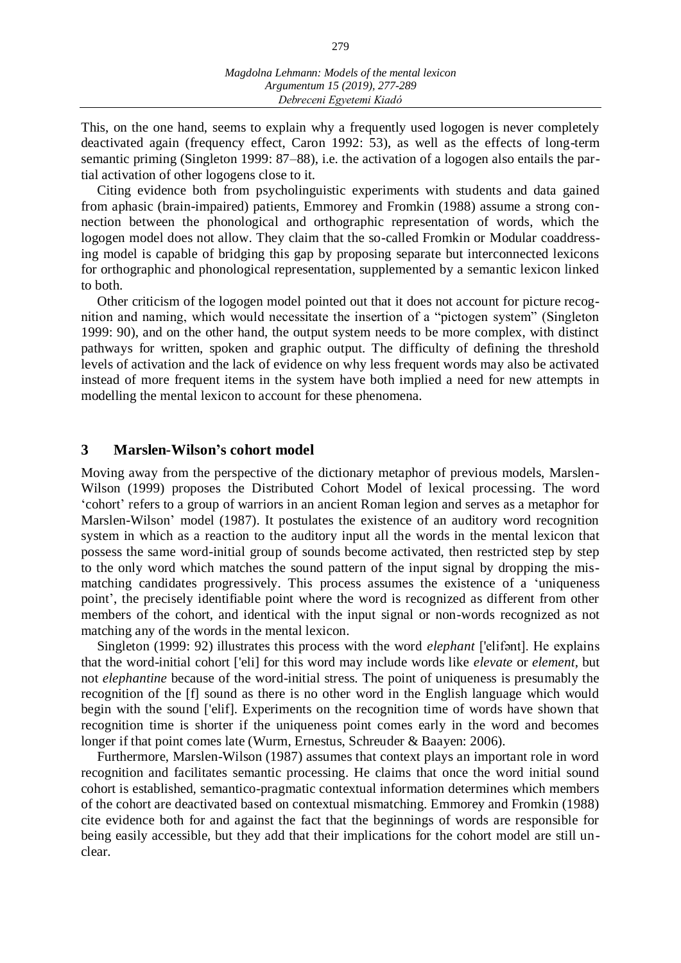This, on the one hand, seems to explain why a frequently used logogen is never completely deactivated again (frequency effect, Caron 1992: 53), as well as the effects of long-term semantic priming (Singleton 1999: 87–88), i.e. the activation of a logogen also entails the partial activation of other logogens close to it.

Citing evidence both from psycholinguistic experiments with students and data gained from aphasic (brain-impaired) patients, Emmorey and Fromkin (1988) assume a strong connection between the phonological and orthographic representation of words, which the logogen model does not allow. They claim that the so-called Fromkin or Modular coaddressing model is capable of bridging this gap by proposing separate but interconnected lexicons for orthographic and phonological representation, supplemented by a semantic lexicon linked to both.

Other criticism of the logogen model pointed out that it does not account for picture recognition and naming, which would necessitate the insertion of a "pictogen system" (Singleton 1999: 90), and on the other hand, the output system needs to be more complex, with distinct pathways for written, spoken and graphic output. The difficulty of defining the threshold levels of activation and the lack of evidence on why less frequent words may also be activated instead of more frequent items in the system have both implied a need for new attempts in modelling the mental lexicon to account for these phenomena.

#### **3 Marslen-Wilson's cohort model**

Moving away from the perspective of the dictionary metaphor of previous models, Marslen-Wilson (1999) proposes the Distributed Cohort Model of lexical processing. The word 'cohort' refers to a group of warriors in an ancient Roman legion and serves as a metaphor for Marslen-Wilson' model (1987). It postulates the existence of an auditory word recognition system in which as a reaction to the auditory input all the words in the mental lexicon that possess the same word-initial group of sounds become activated, then restricted step by step to the only word which matches the sound pattern of the input signal by dropping the mismatching candidates progressively. This process assumes the existence of a 'uniqueness point', the precisely identifiable point where the word is recognized as different from other members of the cohort, and identical with the input signal or non-words recognized as not matching any of the words in the mental lexicon.

Singleton (1999: 92) illustrates this process with the word *elephant* ['elifənt]. He explains that the word-initial cohort ['eli] for this word may include words like *elevate* or *element*, but not *elephantine* because of the word-initial stress. The point of uniqueness is presumably the recognition of the [f] sound as there is no other word in the English language which would begin with the sound ['elif]. Experiments on the recognition time of words have shown that recognition time is shorter if the uniqueness point comes early in the word and becomes longer if that point comes late (Wurm, Ernestus, Schreuder & Baayen: 2006).

Furthermore, Marslen-Wilson (1987) assumes that context plays an important role in word recognition and facilitates semantic processing. He claims that once the word initial sound cohort is established, semantico-pragmatic contextual information determines which members of the cohort are deactivated based on contextual mismatching. Emmorey and Fromkin (1988) cite evidence both for and against the fact that the beginnings of words are responsible for being easily accessible, but they add that their implications for the cohort model are still unclear.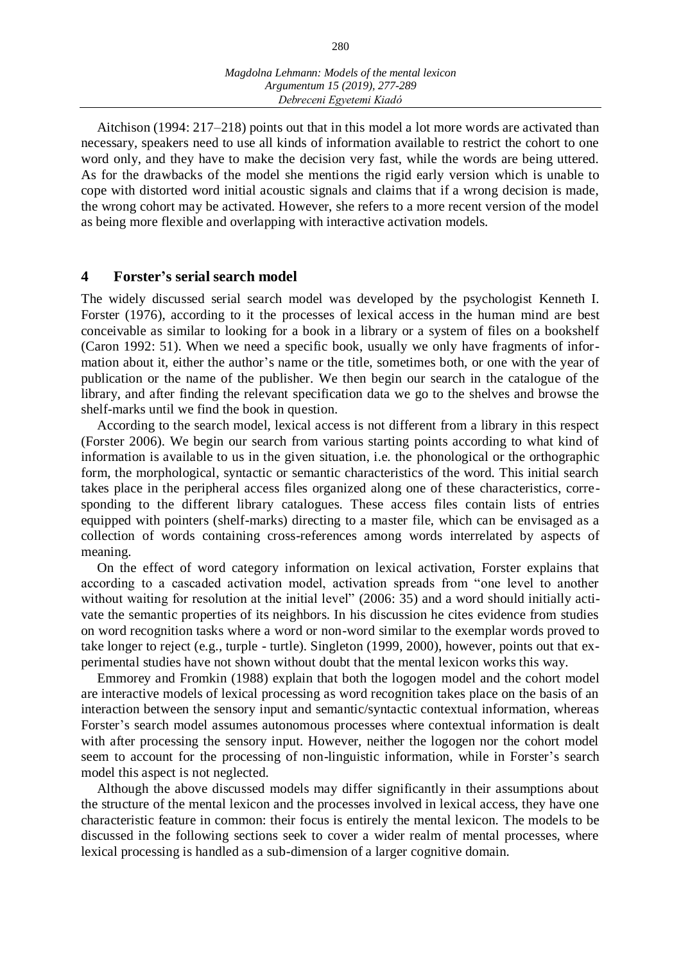Aitchison (1994: 217–218) points out that in this model a lot more words are activated than necessary, speakers need to use all kinds of information available to restrict the cohort to one word only, and they have to make the decision very fast, while the words are being uttered. As for the drawbacks of the model she mentions the rigid early version which is unable to cope with distorted word initial acoustic signals and claims that if a wrong decision is made, the wrong cohort may be activated. However, she refers to a more recent version of the model as being more flexible and overlapping with interactive activation models.

#### **4 Forster's serial search model**

The widely discussed serial search model was developed by the psychologist Kenneth I. Forster (1976), according to it the processes of lexical access in the human mind are best conceivable as similar to looking for a book in a library or a system of files on a bookshelf (Caron 1992: 51). When we need a specific book, usually we only have fragments of information about it, either the author's name or the title, sometimes both, or one with the year of publication or the name of the publisher. We then begin our search in the catalogue of the library, and after finding the relevant specification data we go to the shelves and browse the shelf-marks until we find the book in question.

According to the search model, lexical access is not different from a library in this respect (Forster 2006). We begin our search from various starting points according to what kind of information is available to us in the given situation, i.e. the phonological or the orthographic form, the morphological, syntactic or semantic characteristics of the word. This initial search takes place in the peripheral access files organized along one of these characteristics, corresponding to the different library catalogues. These access files contain lists of entries equipped with pointers (shelf-marks) directing to a master file, which can be envisaged as a collection of words containing cross-references among words interrelated by aspects of meaning.

On the effect of word category information on lexical activation, Forster explains that according to a cascaded activation model, activation spreads from "one level to another without waiting for resolution at the initial level" (2006: 35) and a word should initially activate the semantic properties of its neighbors. In his discussion he cites evidence from studies on word recognition tasks where a word or non-word similar to the exemplar words proved to take longer to reject (e.g., turple - turtle). Singleton (1999, 2000), however, points out that experimental studies have not shown without doubt that the mental lexicon works this way.

Emmorey and Fromkin (1988) explain that both the logogen model and the cohort model are interactive models of lexical processing as word recognition takes place on the basis of an interaction between the sensory input and semantic/syntactic contextual information, whereas Forster's search model assumes autonomous processes where contextual information is dealt with after processing the sensory input. However, neither the logogen nor the cohort model seem to account for the processing of non-linguistic information, while in Forster's search model this aspect is not neglected.

Although the above discussed models may differ significantly in their assumptions about the structure of the mental lexicon and the processes involved in lexical access, they have one characteristic feature in common: their focus is entirely the mental lexicon. The models to be discussed in the following sections seek to cover a wider realm of mental processes, where lexical processing is handled as a sub-dimension of a larger cognitive domain.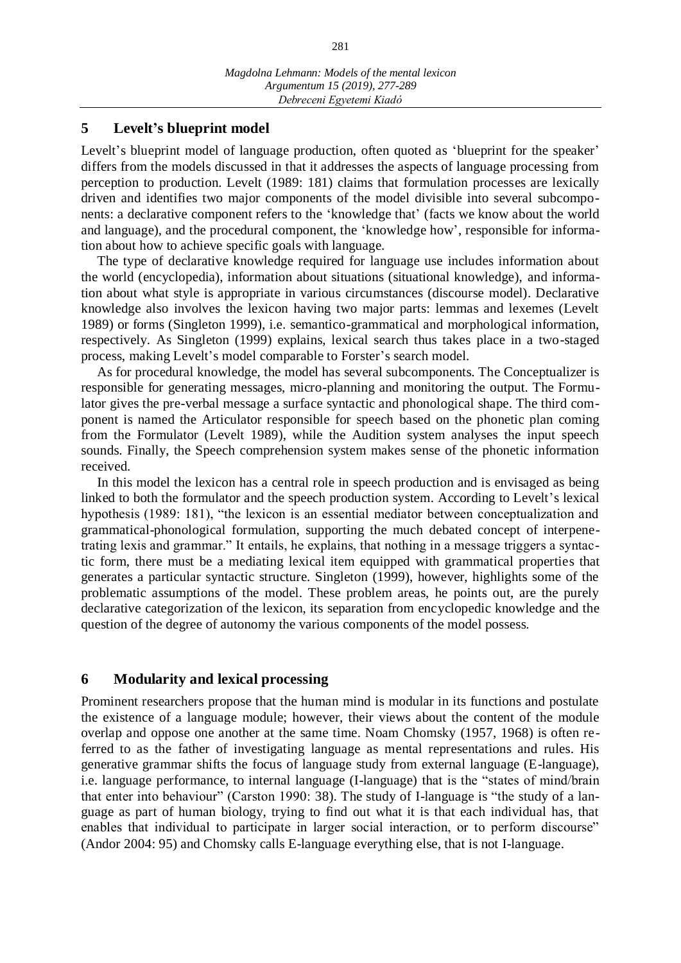# **5 Levelt's blueprint model**

Levelt's blueprint model of language production, often quoted as 'blueprint for the speaker' differs from the models discussed in that it addresses the aspects of language processing from perception to production. Levelt (1989: 181) claims that formulation processes are lexically driven and identifies two major components of the model divisible into several subcomponents: a declarative component refers to the 'knowledge that' (facts we know about the world and language), and the procedural component, the 'knowledge how', responsible for information about how to achieve specific goals with language.

The type of declarative knowledge required for language use includes information about the world (encyclopedia), information about situations (situational knowledge), and information about what style is appropriate in various circumstances (discourse model). Declarative knowledge also involves the lexicon having two major parts: lemmas and lexemes (Levelt 1989) or forms (Singleton 1999), i.e. semantico-grammatical and morphological information, respectively. As Singleton (1999) explains, lexical search thus takes place in a two-staged process, making Levelt's model comparable to Forster's search model.

As for procedural knowledge, the model has several subcomponents. The Conceptualizer is responsible for generating messages, micro-planning and monitoring the output. The Formulator gives the pre-verbal message a surface syntactic and phonological shape. The third component is named the Articulator responsible for speech based on the phonetic plan coming from the Formulator (Levelt 1989), while the Audition system analyses the input speech sounds. Finally, the Speech comprehension system makes sense of the phonetic information received.

In this model the lexicon has a central role in speech production and is envisaged as being linked to both the formulator and the speech production system. According to Levelt's lexical hypothesis (1989: 181), "the lexicon is an essential mediator between conceptualization and grammatical-phonological formulation, supporting the much debated concept of interpenetrating lexis and grammar." It entails, he explains, that nothing in a message triggers a syntactic form, there must be a mediating lexical item equipped with grammatical properties that generates a particular syntactic structure. Singleton (1999), however, highlights some of the problematic assumptions of the model. These problem areas, he points out, are the purely declarative categorization of the lexicon, its separation from encyclopedic knowledge and the question of the degree of autonomy the various components of the model possess.

# **6 Modularity and lexical processing**

Prominent researchers propose that the human mind is modular in its functions and postulate the existence of a language module; however, their views about the content of the module overlap and oppose one another at the same time. Noam Chomsky (1957, 1968) is often referred to as the father of investigating language as mental representations and rules. His generative grammar shifts the focus of language study from external language (E-language), i.e. language performance, to internal language (I-language) that is the "states of mind/brain that enter into behaviour" (Carston 1990: 38). The study of I-language is "the study of a language as part of human biology, trying to find out what it is that each individual has, that enables that individual to participate in larger social interaction, or to perform discourse" (Andor 2004: 95) and Chomsky calls E-language everything else, that is not I-language.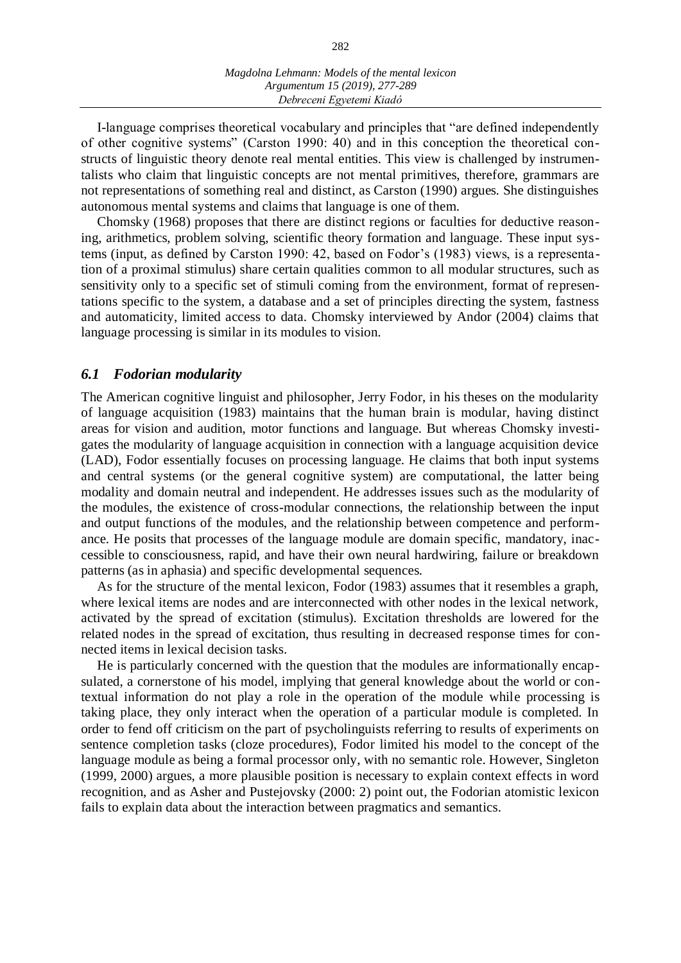282

I-language comprises theoretical vocabulary and principles that "are defined independently of other cognitive systems" (Carston 1990: 40) and in this conception the theoretical constructs of linguistic theory denote real mental entities. This view is challenged by instrumentalists who claim that linguistic concepts are not mental primitives, therefore, grammars are not representations of something real and distinct, as Carston (1990) argues. She distinguishes autonomous mental systems and claims that language is one of them.

Chomsky (1968) proposes that there are distinct regions or faculties for deductive reasoning, arithmetics, problem solving, scientific theory formation and language. These input systems (input, as defined by Carston 1990: 42, based on Fodor's (1983) views, is a representation of a proximal stimulus) share certain qualities common to all modular structures, such as sensitivity only to a specific set of stimuli coming from the environment, format of representations specific to the system, a database and a set of principles directing the system, fastness and automaticity, limited access to data. Chomsky interviewed by Andor (2004) claims that language processing is similar in its modules to vision.

# *6.1 Fodorian modularity*

The American cognitive linguist and philosopher, Jerry Fodor, in his theses on the modularity of language acquisition (1983) maintains that the human brain is modular, having distinct areas for vision and audition, motor functions and language. But whereas Chomsky investigates the modularity of language acquisition in connection with a language acquisition device (LAD), Fodor essentially focuses on processing language. He claims that both input systems and central systems (or the general cognitive system) are computational, the latter being modality and domain neutral and independent. He addresses issues such as the modularity of the modules, the existence of cross-modular connections, the relationship between the input and output functions of the modules, and the relationship between competence and performance. He posits that processes of the language module are domain specific, mandatory, inaccessible to consciousness, rapid, and have their own neural hardwiring, failure or breakdown patterns (as in aphasia) and specific developmental sequences.

As for the structure of the mental lexicon, Fodor (1983) assumes that it resembles a graph, where lexical items are nodes and are interconnected with other nodes in the lexical network, activated by the spread of excitation (stimulus). Excitation thresholds are lowered for the related nodes in the spread of excitation, thus resulting in decreased response times for connected items in lexical decision tasks.

He is particularly concerned with the question that the modules are informationally encapsulated, a cornerstone of his model, implying that general knowledge about the world or contextual information do not play a role in the operation of the module while processing is taking place, they only interact when the operation of a particular module is completed. In order to fend off criticism on the part of psycholinguists referring to results of experiments on sentence completion tasks (cloze procedures), Fodor limited his model to the concept of the language module as being a formal processor only, with no semantic role. However, Singleton (1999, 2000) argues, a more plausible position is necessary to explain context effects in word recognition, and as Asher and Pustejovsky (2000: 2) point out, the Fodorian atomistic lexicon fails to explain data about the interaction between pragmatics and semantics.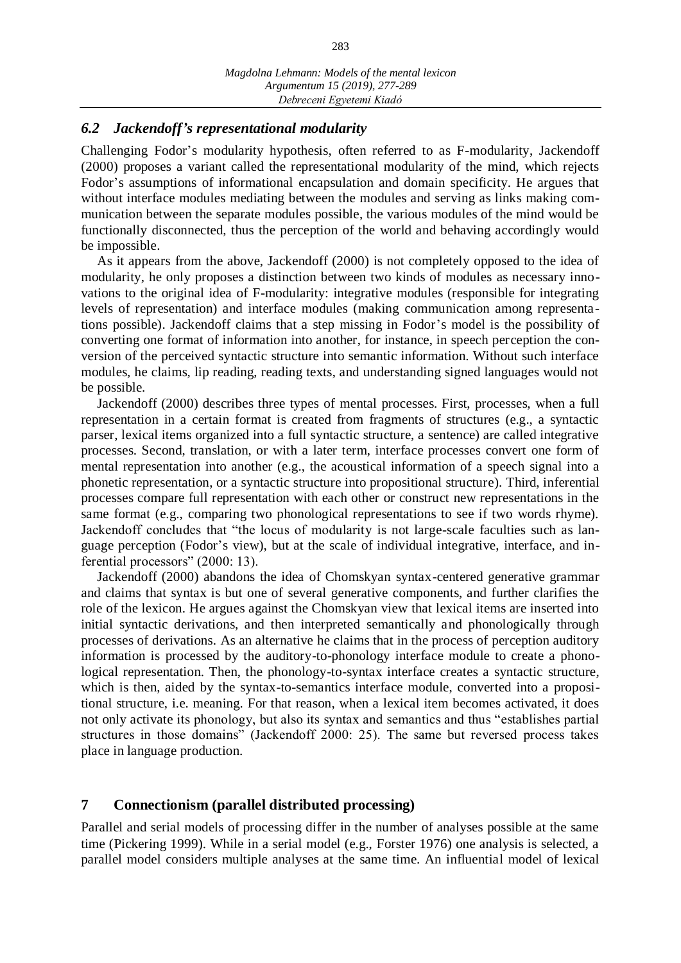# *6.2 Jackendoff's representational modularity*

Challenging Fodor's modularity hypothesis, often referred to as F-modularity, Jackendoff (2000) proposes a variant called the representational modularity of the mind, which rejects Fodor's assumptions of informational encapsulation and domain specificity. He argues that without interface modules mediating between the modules and serving as links making communication between the separate modules possible, the various modules of the mind would be functionally disconnected, thus the perception of the world and behaving accordingly would be impossible.

As it appears from the above, Jackendoff (2000) is not completely opposed to the idea of modularity, he only proposes a distinction between two kinds of modules as necessary innovations to the original idea of F-modularity: integrative modules (responsible for integrating levels of representation) and interface modules (making communication among representations possible). Jackendoff claims that a step missing in Fodor's model is the possibility of converting one format of information into another, for instance, in speech perception the conversion of the perceived syntactic structure into semantic information. Without such interface modules, he claims, lip reading, reading texts, and understanding signed languages would not be possible.

Jackendoff (2000) describes three types of mental processes. First, processes, when a full representation in a certain format is created from fragments of structures (e.g., a syntactic parser, lexical items organized into a full syntactic structure, a sentence) are called integrative processes. Second, translation, or with a later term, interface processes convert one form of mental representation into another (e.g., the acoustical information of a speech signal into a phonetic representation, or a syntactic structure into propositional structure). Third, inferential processes compare full representation with each other or construct new representations in the same format (e.g., comparing two phonological representations to see if two words rhyme). Jackendoff concludes that "the locus of modularity is not large-scale faculties such as language perception (Fodor's view), but at the scale of individual integrative, interface, and inferential processors" (2000: 13).

Jackendoff (2000) abandons the idea of Chomskyan syntax-centered generative grammar and claims that syntax is but one of several generative components, and further clarifies the role of the lexicon. He argues against the Chomskyan view that lexical items are inserted into initial syntactic derivations, and then interpreted semantically and phonologically through processes of derivations. As an alternative he claims that in the process of perception auditory information is processed by the auditory-to-phonology interface module to create a phonological representation. Then, the phonology-to-syntax interface creates a syntactic structure, which is then, aided by the syntax-to-semantics interface module, converted into a propositional structure, i.e. meaning. For that reason, when a lexical item becomes activated, it does not only activate its phonology, but also its syntax and semantics and thus "establishes partial structures in those domains" (Jackendoff 2000: 25). The same but reversed process takes place in language production.

# **7 Connectionism (parallel distributed processing)**

Parallel and serial models of processing differ in the number of analyses possible at the same time (Pickering 1999). While in a serial model (e.g., Forster 1976) one analysis is selected, a parallel model considers multiple analyses at the same time. An influential model of lexical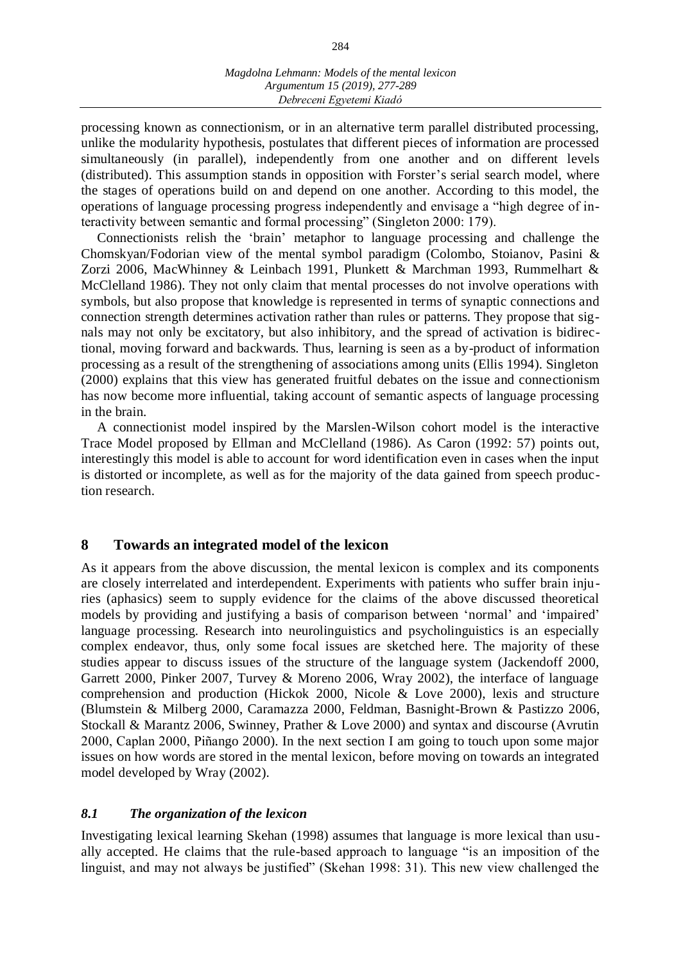processing known as connectionism, or in an alternative term parallel distributed processing, unlike the modularity hypothesis, postulates that different pieces of information are processed simultaneously (in parallel), independently from one another and on different levels (distributed). This assumption stands in opposition with Forster's serial search model, where the stages of operations build on and depend on one another. According to this model, the operations of language processing progress independently and envisage a "high degree of interactivity between semantic and formal processing" (Singleton 2000: 179).

Connectionists relish the 'brain' metaphor to language processing and challenge the Chomskyan/Fodorian view of the mental symbol paradigm (Colombo, Stoianov, Pasini & Zorzi 2006, MacWhinney & Leinbach 1991, Plunkett & Marchman 1993, Rummelhart & McClelland 1986). They not only claim that mental processes do not involve operations with symbols, but also propose that knowledge is represented in terms of synaptic connections and connection strength determines activation rather than rules or patterns. They propose that signals may not only be excitatory, but also inhibitory, and the spread of activation is bidirectional, moving forward and backwards. Thus, learning is seen as a by-product of information processing as a result of the strengthening of associations among units (Ellis 1994). Singleton (2000) explains that this view has generated fruitful debates on the issue and connectionism has now become more influential, taking account of semantic aspects of language processing in the brain.

A connectionist model inspired by the Marslen-Wilson cohort model is the interactive Trace Model proposed by Ellman and McClelland (1986). As Caron (1992: 57) points out, interestingly this model is able to account for word identification even in cases when the input is distorted or incomplete, as well as for the majority of the data gained from speech production research.

# **8 Towards an integrated model of the lexicon**

As it appears from the above discussion, the mental lexicon is complex and its components are closely interrelated and interdependent. Experiments with patients who suffer brain injuries (aphasics) seem to supply evidence for the claims of the above discussed theoretical models by providing and justifying a basis of comparison between 'normal' and 'impaired' language processing. Research into neurolinguistics and psycholinguistics is an especially complex endeavor, thus, only some focal issues are sketched here. The majority of these studies appear to discuss issues of the structure of the language system (Jackendoff 2000, Garrett 2000, Pinker 2007, Turvey & Moreno 2006, Wray 2002), the interface of language comprehension and production (Hickok 2000, Nicole & Love 2000), lexis and structure (Blumstein & Milberg 2000, Caramazza 2000, Feldman, Basnight-Brown & Pastizzo 2006, Stockall & Marantz 2006, Swinney, Prather & Love 2000) and syntax and discourse (Avrutin 2000, Caplan 2000, Piñango 2000). In the next section I am going to touch upon some major issues on how words are stored in the mental lexicon, before moving on towards an integrated model developed by Wray (2002).

# *8.1 The organization of the lexicon*

Investigating lexical learning Skehan (1998) assumes that language is more lexical than usually accepted. He claims that the rule-based approach to language "is an imposition of the linguist, and may not always be justified" (Skehan 1998: 31). This new view challenged the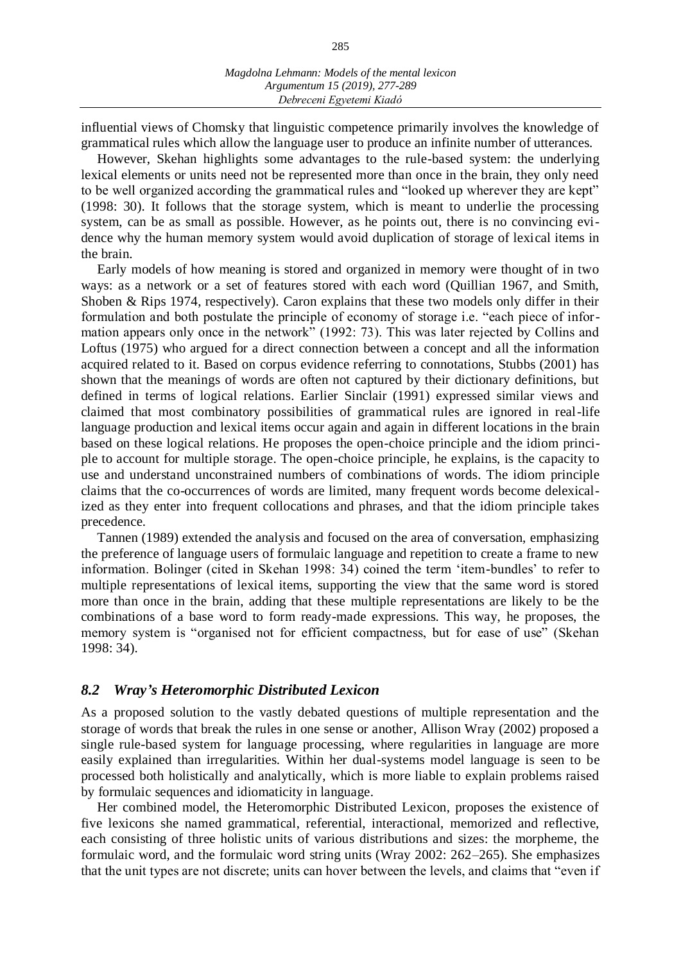influential views of Chomsky that linguistic competence primarily involves the knowledge of grammatical rules which allow the language user to produce an infinite number of utterances.

However, Skehan highlights some advantages to the rule-based system: the underlying lexical elements or units need not be represented more than once in the brain, they only need to be well organized according the grammatical rules and "looked up wherever they are kept" (1998: 30). It follows that the storage system, which is meant to underlie the processing system, can be as small as possible. However, as he points out, there is no convincing evidence why the human memory system would avoid duplication of storage of lexical items in the brain.

Early models of how meaning is stored and organized in memory were thought of in two ways: as a network or a set of features stored with each word (Quillian 1967, and Smith, Shoben & Rips 1974, respectively). Caron explains that these two models only differ in their formulation and both postulate the principle of economy of storage i.e. "each piece of information appears only once in the network" (1992: 73). This was later rejected by Collins and Loftus (1975) who argued for a direct connection between a concept and all the information acquired related to it. Based on corpus evidence referring to connotations, Stubbs (2001) has shown that the meanings of words are often not captured by their dictionary definitions, but defined in terms of logical relations. Earlier Sinclair (1991) expressed similar views and claimed that most combinatory possibilities of grammatical rules are ignored in real-life language production and lexical items occur again and again in different locations in the brain based on these logical relations. He proposes the open-choice principle and the idiom principle to account for multiple storage. The open-choice principle, he explains, is the capacity to use and understand unconstrained numbers of combinations of words. The idiom principle claims that the co-occurrences of words are limited, many frequent words become delexicalized as they enter into frequent collocations and phrases, and that the idiom principle takes precedence.

Tannen (1989) extended the analysis and focused on the area of conversation, emphasizing the preference of language users of formulaic language and repetition to create a frame to new information. Bolinger (cited in Skehan 1998: 34) coined the term 'item-bundles' to refer to multiple representations of lexical items, supporting the view that the same word is stored more than once in the brain, adding that these multiple representations are likely to be the combinations of a base word to form ready-made expressions. This way, he proposes, the memory system is "organised not for efficient compactness, but for ease of use" (Skehan 1998: 34).

#### *8.2 Wray's Heteromorphic Distributed Lexicon*

As a proposed solution to the vastly debated questions of multiple representation and the storage of words that break the rules in one sense or another, Allison Wray (2002) proposed a single rule-based system for language processing, where regularities in language are more easily explained than irregularities. Within her dual-systems model language is seen to be processed both holistically and analytically, which is more liable to explain problems raised by formulaic sequences and idiomaticity in language.

Her combined model, the Heteromorphic Distributed Lexicon, proposes the existence of five lexicons she named grammatical, referential, interactional, memorized and reflective, each consisting of three holistic units of various distributions and sizes: the morpheme, the formulaic word, and the formulaic word string units (Wray 2002: 262–265). She emphasizes that the unit types are not discrete; units can hover between the levels, and claims that "even if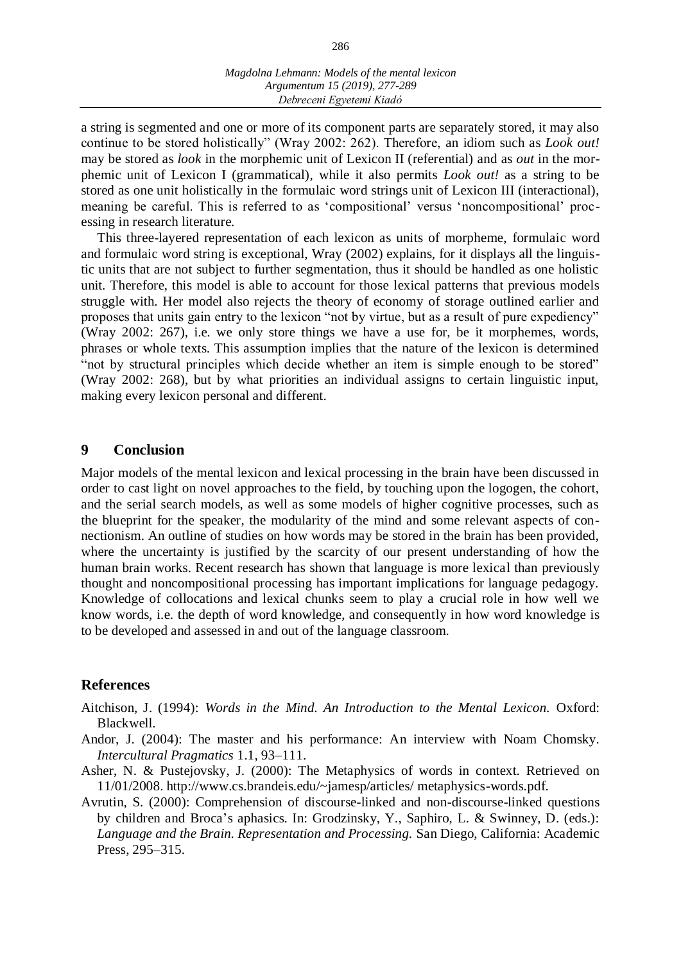286

a string is segmented and one or more of its component parts are separately stored, it may also continue to be stored holistically" (Wray 2002: 262). Therefore, an idiom such as *Look out!* may be stored as *look* in the morphemic unit of Lexicon II (referential) and as *out* in the morphemic unit of Lexicon I (grammatical), while it also permits *Look out!* as a string to be stored as one unit holistically in the formulaic word strings unit of Lexicon III (interactional), meaning be careful. This is referred to as 'compositional' versus 'noncompositional' processing in research literature.

This three-layered representation of each lexicon as units of morpheme, formulaic word and formulaic word string is exceptional, Wray (2002) explains, for it displays all the linguistic units that are not subject to further segmentation, thus it should be handled as one holistic unit. Therefore, this model is able to account for those lexical patterns that previous models struggle with. Her model also rejects the theory of economy of storage outlined earlier and proposes that units gain entry to the lexicon "not by virtue, but as a result of pure expediency" (Wray 2002: 267), i.e. we only store things we have a use for, be it morphemes, words, phrases or whole texts. This assumption implies that the nature of the lexicon is determined "not by structural principles which decide whether an item is simple enough to be stored" (Wray 2002: 268), but by what priorities an individual assigns to certain linguistic input, making every lexicon personal and different.

### **9 Conclusion**

Major models of the mental lexicon and lexical processing in the brain have been discussed in order to cast light on novel approaches to the field, by touching upon the logogen, the cohort, and the serial search models, as well as some models of higher cognitive processes, such as the blueprint for the speaker, the modularity of the mind and some relevant aspects of connectionism. An outline of studies on how words may be stored in the brain has been provided, where the uncertainty is justified by the scarcity of our present understanding of how the human brain works. Recent research has shown that language is more lexical than previously thought and noncompositional processing has important implications for language pedagogy. Knowledge of collocations and lexical chunks seem to play a crucial role in how well we know words, i.e. the depth of word knowledge, and consequently in how word knowledge is to be developed and assessed in and out of the language classroom.

#### **References**

- Aitchison, J. (1994): *Words in the Mind. An Introduction to the Mental Lexicon.* Oxford: Blackwell.
- Andor, J. (2004): The master and his performance: An interview with Noam Chomsky. *Intercultural Pragmatics* 1.1, 93–111.
- Asher, N. & Pustejovsky, J. (2000): The Metaphysics of words in context. Retrieved on 11/01/2008. http://www.cs.brandeis.edu/~jamesp/articles/ metaphysics-words.pdf.
- Avrutin, S. (2000): Comprehension of discourse-linked and non-discourse-linked questions by children and Broca's aphasics. In: Grodzinsky, Y., Saphiro, L. & Swinney, D. (eds.): *Language and the Brain. Representation and Processing.* San Diego, California: Academic Press, 295–315.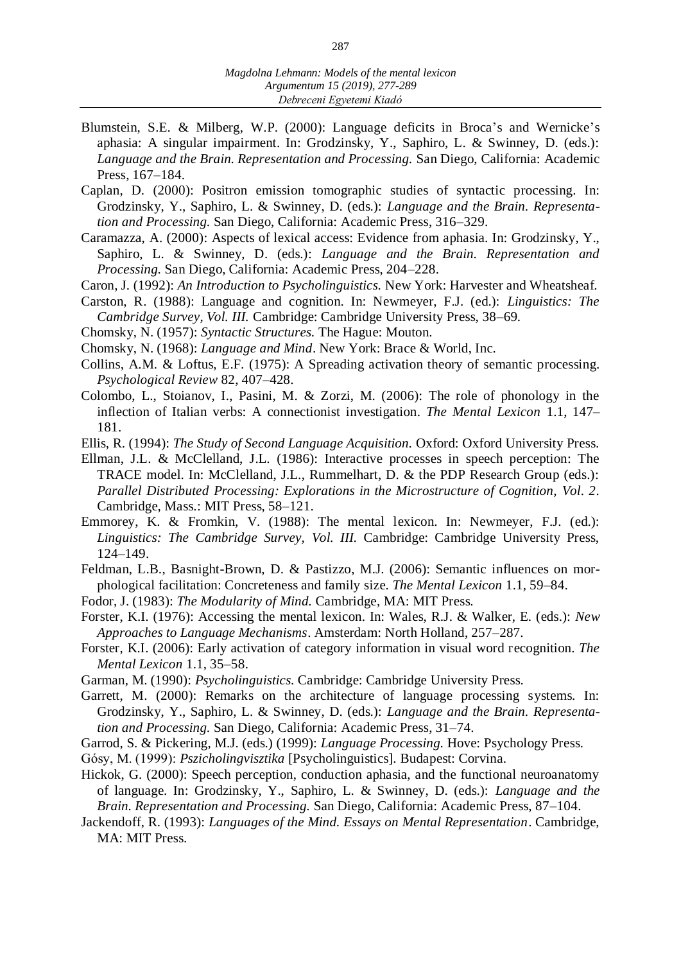- Blumstein, S.E. & Milberg, W.P. (2000): Language deficits in Broca's and Wernicke's aphasia: A singular impairment. In: Grodzinsky, Y., Saphiro, L. & Swinney, D. (eds.): *Language and the Brain. Representation and Processing.* San Diego, California: Academic Press, 167–184.
- Caplan, D. (2000): Positron emission tomographic studies of syntactic processing. In: Grodzinsky, Y., Saphiro, L. & Swinney, D. (eds.): *Language and the Brain. Representation and Processing.* San Diego, California: Academic Press, 316–329.
- Caramazza, A. (2000): Aspects of lexical access: Evidence from aphasia. In: Grodzinsky, Y., Saphiro, L. & Swinney, D. (eds.): *Language and the Brain. Representation and Processing.* San Diego, California: Academic Press, 204–228.
- Caron, J. (1992): *An Introduction to Psycholinguistics.* New York: Harvester and Wheatsheaf.
- Carston, R. (1988): Language and cognition. In: Newmeyer, F.J. (ed.): *Linguistics: The Cambridge Survey, Vol. III.* Cambridge: Cambridge University Press, 38–69.
- Chomsky, N. (1957): *Syntactic Structures.* The Hague: Mouton.
- Chomsky, N. (1968): *Language and Mind*. New York: Brace & World, Inc.
- Collins, A.M. & Loftus, E.F. (1975): A Spreading activation theory of semantic processing. *Psychological Review* 82, 407–428.
- Colombo, L., Stoianov, I., Pasini, M. & Zorzi, M. (2006): The role of phonology in the inflection of Italian verbs: A connectionist investigation. *The Mental Lexicon* 1.1, 147– 181.
- Ellis, R. (1994): *The Study of Second Language Acquisition.* Oxford: Oxford University Press.
- Ellman, J.L. & McClelland, J.L. (1986): Interactive processes in speech perception: The TRACE model. In: McClelland, J.L., Rummelhart, D. & the PDP Research Group (eds.): *Parallel Distributed Processing: Explorations in the Microstructure of Cognition, Vol. 2.* Cambridge, Mass.: MIT Press, 58–121.
- Emmorey, K. & Fromkin, V. (1988): The mental lexicon. In: Newmeyer, F.J. (ed.): *Linguistics: The Cambridge Survey, Vol. III.* Cambridge: Cambridge University Press, 124–149.
- Feldman, L.B., Basnight-Brown, D. & Pastizzo, M.J. (2006): Semantic influences on morphological facilitation: Concreteness and family size. *The Mental Lexicon* 1.1, 59–84.
- Fodor, J. (1983): *The Modularity of Mind.* Cambridge, MA: MIT Press.
- Forster, K.I. (1976): Accessing the mental lexicon. In: Wales, R.J. & Walker, E. (eds.): *New Approaches to Language Mechanisms*. Amsterdam: North Holland, 257–287.
- Forster, K.I. (2006): Early activation of category information in visual word recognition. *The Mental Lexicon* 1.1, 35–58.
- Garman, M. (1990): *Psycholinguistics.* Cambridge: Cambridge University Press.
- Garrett, M. (2000): Remarks on the architecture of language processing systems. In: Grodzinsky, Y., Saphiro, L. & Swinney, D. (eds.): *Language and the Brain. Representation and Processing.* San Diego, California: Academic Press, 31–74.
- Garrod, S. & Pickering, M.J. (eds.) (1999): *Language Processing.* Hove: Psychology Press.
- Gósy, M. (1999): *Pszicholingvisztika* [Psycholinguistics]*.* Budapest: Corvina.
- Hickok, G. (2000): Speech perception, conduction aphasia, and the functional neuroanatomy of language. In: Grodzinsky, Y., Saphiro, L. & Swinney, D. (eds.): *Language and the Brain. Representation and Processing.* San Diego, California: Academic Press, 87–104.
- Jackendoff, R. (1993): *Languages of the Mind. Essays on Mental Representation*. Cambridge, MA: MIT Press.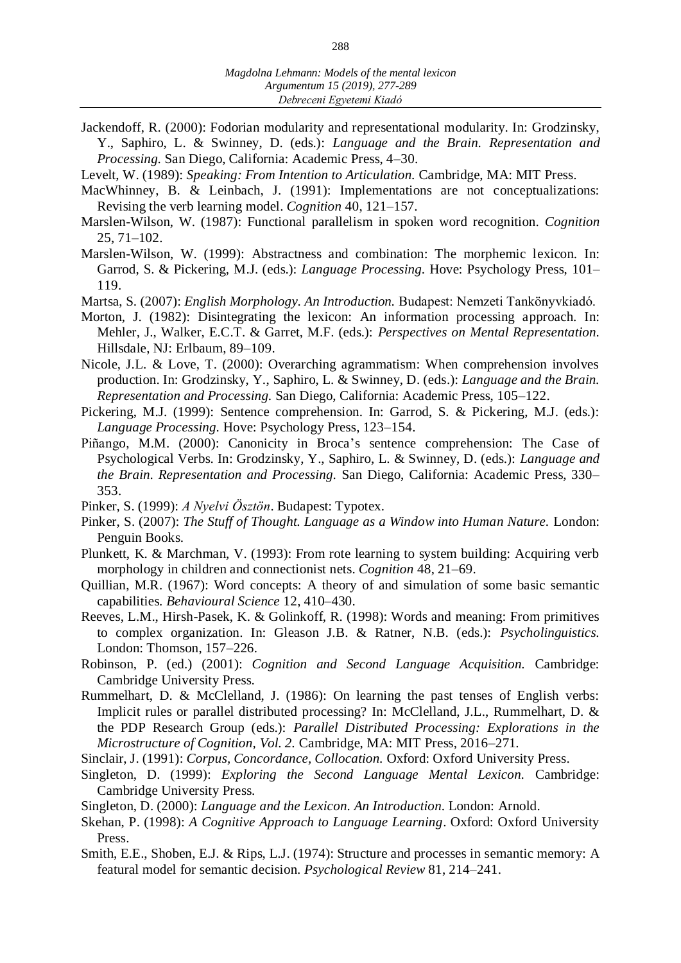- Jackendoff, R. (2000): Fodorian modularity and representational modularity. In: Grodzinsky, Y., Saphiro, L. & Swinney, D. (eds.): *Language and the Brain. Representation and Processing.* San Diego, California: Academic Press, 4–30.
- Levelt, W. (1989): *Speaking: From Intention to Articulation.* Cambridge, MA: MIT Press.
- MacWhinney, B. & Leinbach, J. (1991): Implementations are not conceptualizations: Revising the verb learning model. *Cognition* 40, 121–157.
- Marslen-Wilson, W. (1987): Functional parallelism in spoken word recognition. *Cognition*  25, 71–102.
- Marslen-Wilson, W. (1999): Abstractness and combination: The morphemic lexicon. In: Garrod, S. & Pickering, M.J. (eds.): *Language Processing.* Hove: Psychology Press, 101– 119.
- Martsa, S. (2007): *English Morphology. An Introduction.* Budapest: Nemzeti Tankönyvkiadó.
- Morton, J. (1982): Disintegrating the lexicon: An information processing approach. In: Mehler, J., Walker, E.C.T. & Garret, M.F. (eds.): *Perspectives on Mental Representation.* Hillsdale, NJ: Erlbaum, 89–109.
- Nicole, J.L. & Love, T. (2000): Overarching agrammatism: When comprehension involves production. In: Grodzinsky, Y., Saphiro, L. & Swinney, D. (eds.): *Language and the Brain. Representation and Processing.* San Diego, California: Academic Press, 105–122.
- Pickering, M.J. (1999): Sentence comprehension. In: Garrod, S. & Pickering, M.J. (eds.): *Language Processing.* Hove: Psychology Press, 123–154.
- Piñango, M.M. (2000): Canonicity in Broca's sentence comprehension: The Case of Psychological Verbs. In: Grodzinsky, Y., Saphiro, L. & Swinney, D. (eds.): *Language and the Brain. Representation and Processing.* San Diego, California: Academic Press, 330– 353.
- Pinker, S. (1999): *A Nyelvi Ösztön*. Budapest: Typotex.
- Pinker, S. (2007): *The Stuff of Thought. Language as a Window into Human Nature.* London: Penguin Books.
- Plunkett, K. & Marchman, V. (1993): From rote learning to system building: Acquiring verb morphology in children and connectionist nets. *Cognition* 48, 21–69.
- Quillian, M.R. (1967): Word concepts: A theory of and simulation of some basic semantic capabilities. *Behavioural Science* 12, 410–430.
- Reeves, L.M., Hirsh-Pasek, K. & Golinkoff, R. (1998): Words and meaning: From primitives to complex organization. In: Gleason J.B. & Ratner, N.B. (eds.): *Psycholinguistics.* London: Thomson, 157–226.
- Robinson, P. (ed.) (2001): *Cognition and Second Language Acquisition.* Cambridge: Cambridge University Press.
- Rummelhart, D. & McClelland, J. (1986): On learning the past tenses of English verbs: Implicit rules or parallel distributed processing? In: McClelland, J.L., Rummelhart, D. & the PDP Research Group (eds.): *Parallel Distributed Processing: Explorations in the Microstructure of Cognition, Vol. 2.* Cambridge, MA: MIT Press, 2016–271.
- Sinclair, J. (1991): *Corpus, Concordance, Collocation.* Oxford: Oxford University Press.
- Singleton, D. (1999): *Exploring the Second Language Mental Lexicon.* Cambridge: Cambridge University Press.
- Singleton, D. (2000): *Language and the Lexicon. An Introduction.* London: Arnold.
- Skehan, P. (1998): *A Cognitive Approach to Language Learning*. Oxford: Oxford University Press.
- Smith, E.E., Shoben, E.J. & Rips, L.J. (1974): Structure and processes in semantic memory: A featural model for semantic decision. *Psychological Review* 81, 214–241.